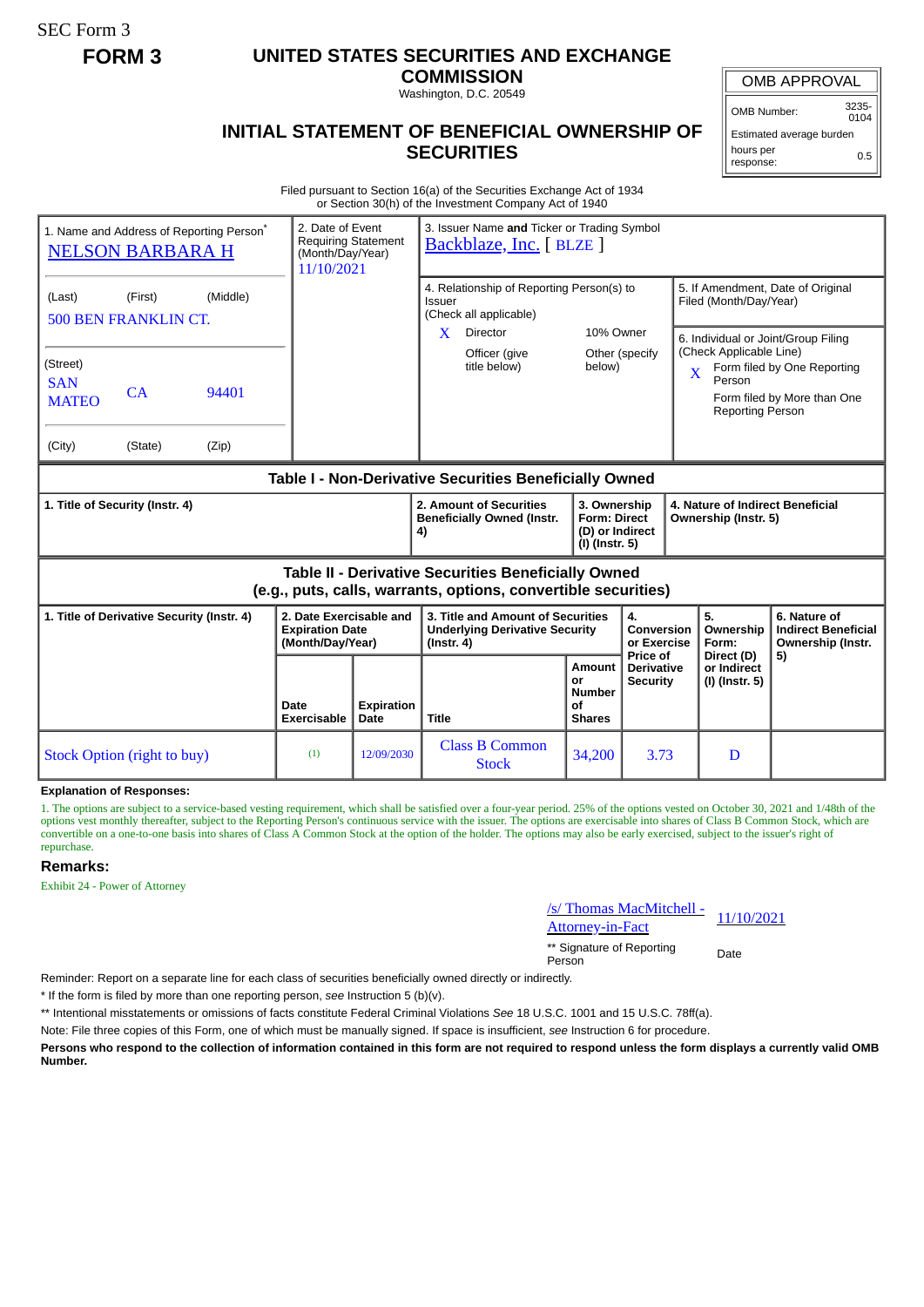SEC Form 3

## **FORM 3 UNITED STATES SECURITIES AND EXCHANGE**

**COMMISSION** Washington, D.C. 20549

OMB APPROVAL

OMB Number: 3235- 0104

**INITIAL STATEMENT OF BENEFICIAL OWNERSHIP OF SECURITIES**

Estimated average burden hours per response: 0.5

Filed pursuant to Section 16(a) of the Securities Exchange Act of 1934 or Section 30(h) of the Investment Company Act of 1940

| 1. Name and Address of Reporting Person <sup>®</sup>                                                                  | <b>NELSON BARBARA H</b>                      |                   | 2. Date of Event<br><b>Requiring Statement</b><br>(Month/Day/Year)<br>11/10/2021 |                                       | 3. Issuer Name and Ticker or Trading Symbol<br>Backblaze, Inc. [BLZE]                                                            |                                                                          |                                                  |                                                                                                                                                                                                                                       |                                                                 |
|-----------------------------------------------------------------------------------------------------------------------|----------------------------------------------|-------------------|----------------------------------------------------------------------------------|---------------------------------------|----------------------------------------------------------------------------------------------------------------------------------|--------------------------------------------------------------------------|--------------------------------------------------|---------------------------------------------------------------------------------------------------------------------------------------------------------------------------------------------------------------------------------------|-----------------------------------------------------------------|
| (Last)<br>(Street)<br><b>SAN</b><br><b>MATEO</b>                                                                      | (First)<br><b>500 BEN FRANKLIN CT.</b><br>CA | (Middle)<br>94401 |                                                                                  |                                       | 4. Relationship of Reporting Person(s) to<br>Issuer<br>(Check all applicable)<br>Director<br>X.<br>Officer (give<br>title below) | 10% Owner<br>below)                                                      | Other (specify                                   | 5. If Amendment, Date of Original<br>Filed (Month/Day/Year)<br>6. Individual or Joint/Group Filing<br>(Check Applicable Line)<br>Form filed by One Reporting<br>X<br>Person<br>Form filed by More than One<br><b>Reporting Person</b> |                                                                 |
| (City)                                                                                                                | (State)                                      | (Zip)             |                                                                                  |                                       |                                                                                                                                  |                                                                          |                                                  |                                                                                                                                                                                                                                       |                                                                 |
| Table I - Non-Derivative Securities Beneficially Owned                                                                |                                              |                   |                                                                                  |                                       |                                                                                                                                  |                                                                          |                                                  |                                                                                                                                                                                                                                       |                                                                 |
| 1. Title of Security (Instr. 4)                                                                                       |                                              |                   |                                                                                  |                                       | 2. Amount of Securities<br><b>Beneficially Owned (Instr.</b><br>4)                                                               | 3. Ownership<br><b>Form: Direct</b><br>(D) or Indirect<br>(I) (Instr. 5) |                                                  | 4. Nature of Indirect Beneficial<br>Ownership (Instr. 5)                                                                                                                                                                              |                                                                 |
| Table II - Derivative Securities Beneficially Owned<br>(e.g., puts, calls, warrants, options, convertible securities) |                                              |                   |                                                                                  |                                       |                                                                                                                                  |                                                                          |                                                  |                                                                                                                                                                                                                                       |                                                                 |
| 1. Title of Derivative Security (Instr. 4)                                                                            |                                              |                   | 2. Date Exercisable and<br><b>Expiration Date</b><br>(Month/Day/Year)            |                                       | 3. Title and Amount of Securities<br><b>Underlying Derivative Security</b><br>$($ lnstr. 4 $)$                                   |                                                                          | 4.<br>Conversion<br>or Exercise                  | 5.<br>Ownership<br>Form:                                                                                                                                                                                                              | 6. Nature of<br><b>Indirect Beneficial</b><br>Ownership (Instr. |
|                                                                                                                       |                                              |                   | Date<br><b>Exercisable</b>                                                       | <b>Expiration</b><br>Date             | <b>Title</b>                                                                                                                     | Amount<br>or<br><b>Number</b><br>Οf<br><b>Shares</b>                     | Price of<br><b>Derivative</b><br><b>Security</b> | Direct (D)<br>or Indirect<br>(I) (Instr. 5)                                                                                                                                                                                           | 5)                                                              |
| <b>Stock Option (right to buy)</b>                                                                                    |                                              | (1)               | 12/09/2030                                                                       | <b>Class B Common</b><br><b>Stock</b> | 34,200                                                                                                                           | 3.73                                                                     | D                                                |                                                                                                                                                                                                                                       |                                                                 |

**Explanation of Responses:**

1. The options are subject to a service-based vesting requirement, which shall be satisfied over a four-year period. 25% of the options vested on October 30, 2021 and 1/48th of the options vest monthly thereafter, subject to the Reporting Person's continuous service with the issuer. The options are exercisable into shares of Class B Common Stock, which are convertible on a one-to-one basis into shares of Class A Common Stock at the option of the holder. The options may also be early exercised, subject to the issuer's right of repurchase.

## **Remarks:**

Exhibit 24 - Power of Attorney

/s/ Thomas MacMitchell - <u>Steff informational control of</u>  $\frac{11}{10/2021}$ 

\*\* Signature of Reporting Person Date

Reminder: Report on a separate line for each class of securities beneficially owned directly or indirectly.

\* If the form is filed by more than one reporting person, *see* Instruction 5 (b)(v).

\*\* Intentional misstatements or omissions of facts constitute Federal Criminal Violations *See* 18 U.S.C. 1001 and 15 U.S.C. 78ff(a).

Note: File three copies of this Form, one of which must be manually signed. If space is insufficient, *see* Instruction 6 for procedure.

**Persons who respond to the collection of information contained in this form are not required to respond unless the form displays a currently valid OMB Number.**